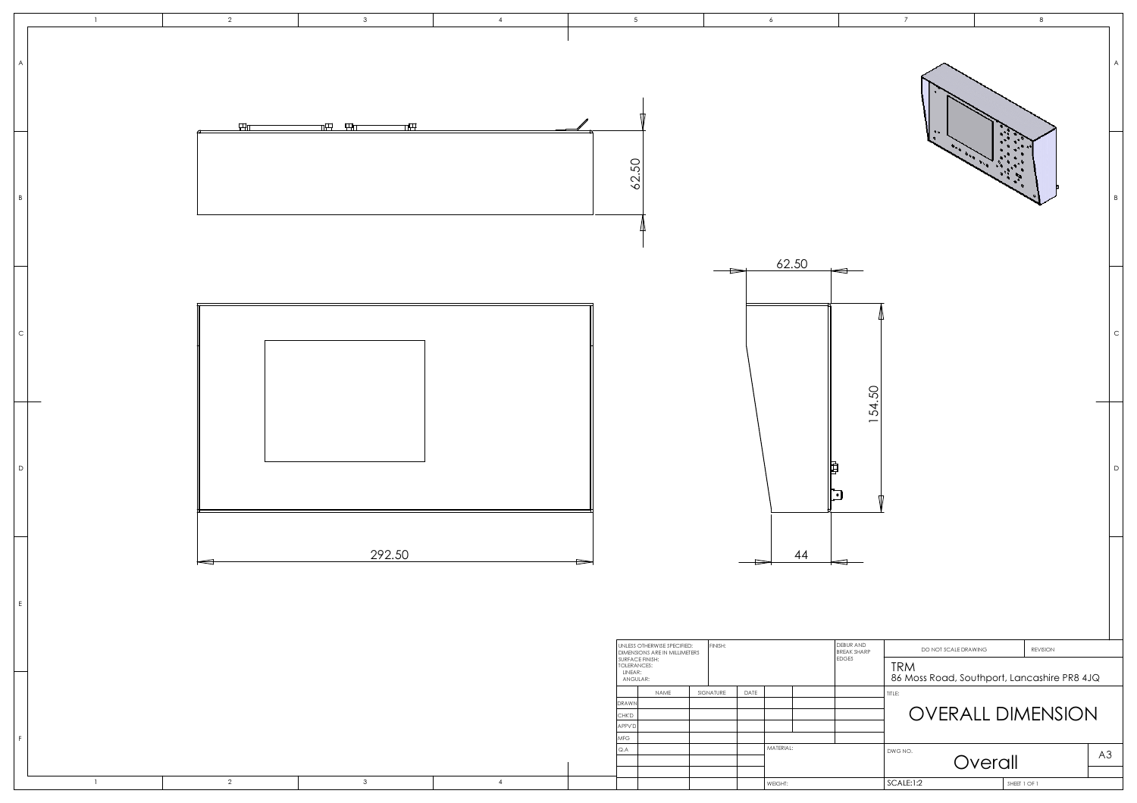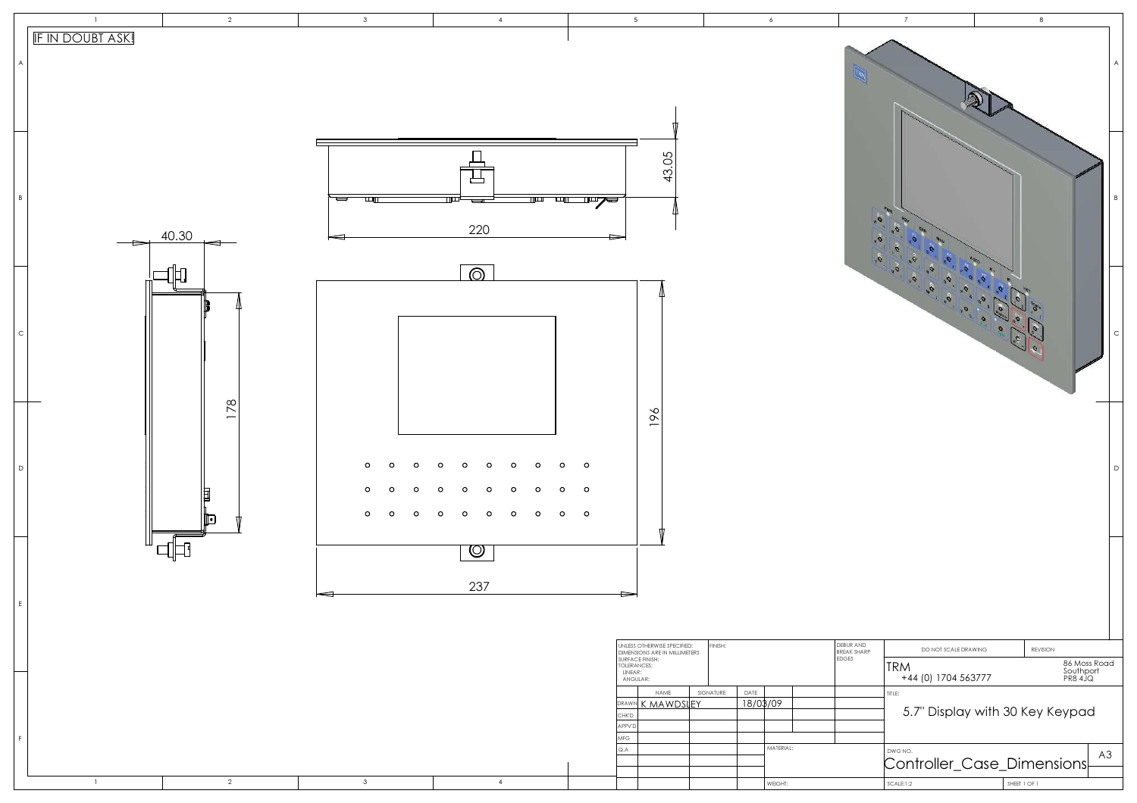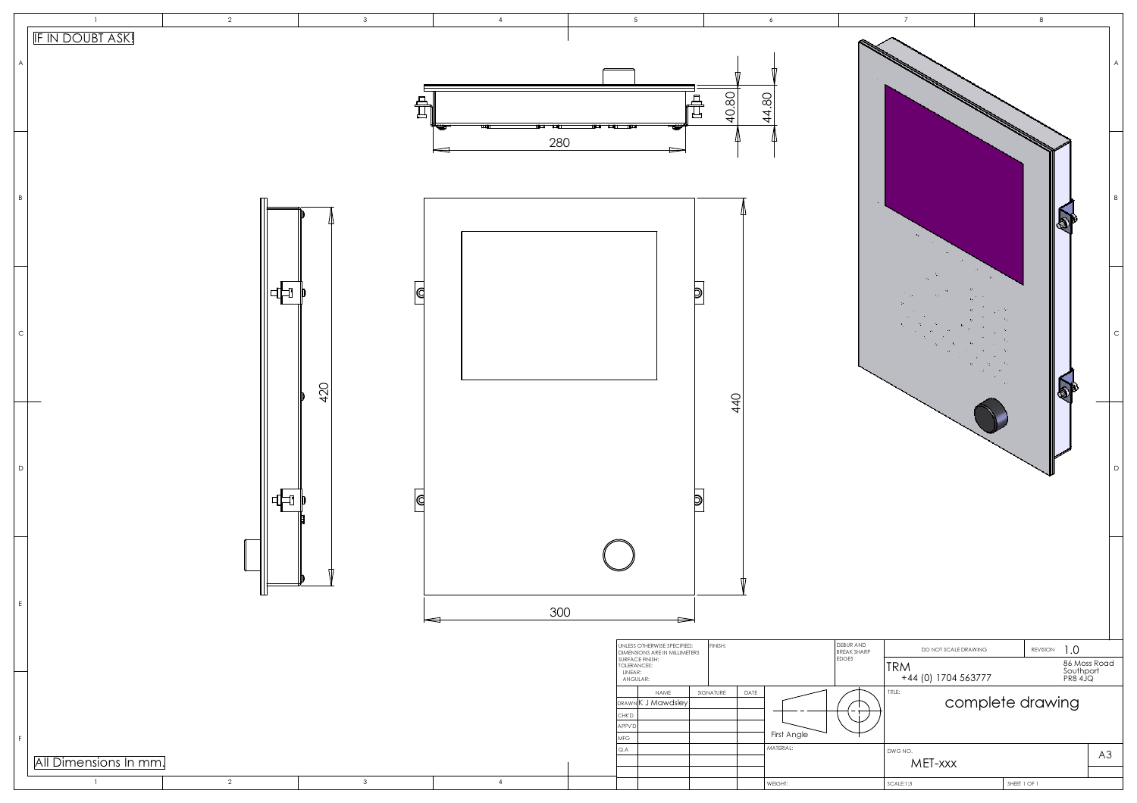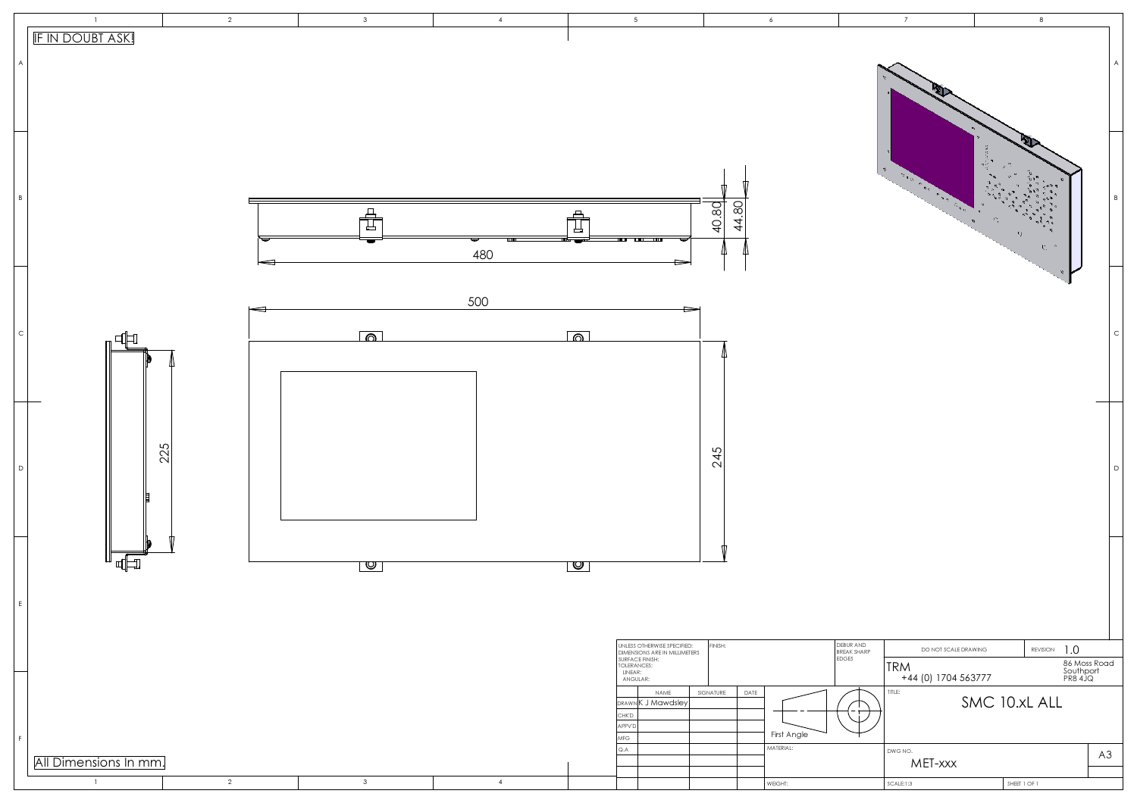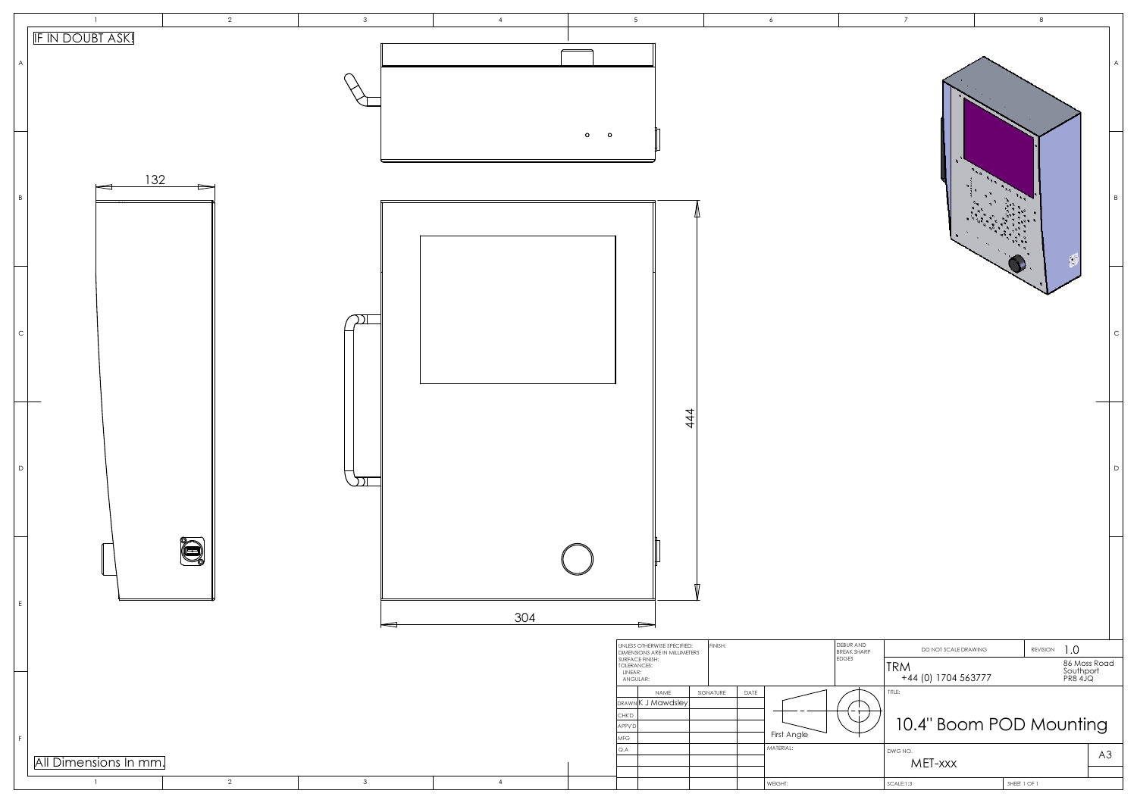